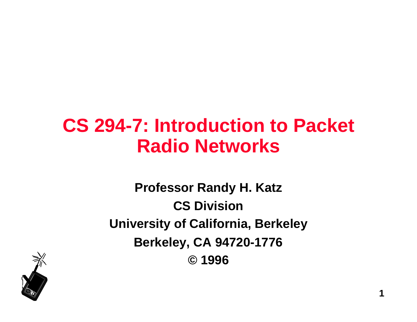## **CS 294-7: Introduction to Packet Radio Networks**

**Professor Randy H. Katz CS Division University of California, Berkeley Berkeley, CA 94720-1776 © 1996**

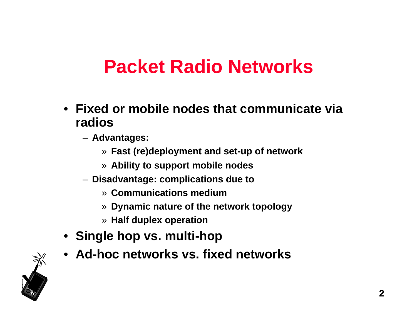## **Packet Radio Networks**

- **Fixed or mobile nodes that communicate via radios**
	- **Advantages:** 
		- » **Fast (re)deployment and set-up of network**
		- » **Ability to support mobile nodes**
	- **Disadvantage: complications due to**
		- » **Communications medium**
		- » **Dynamic nature of the network topology**
		- » **Half duplex operation**
- **Single hop vs. multi-hop**
- **Ad-hoc networks vs. fixed networks**

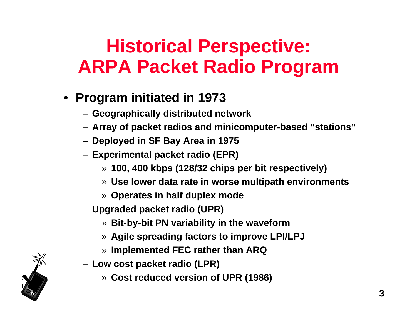## **Historical Perspective: ARPA Packet Radio Program**

- **Program initiated in 1973**
	- **Geographically distributed network**
	- **Array of packet radios and minicomputer-based "stations"**
	- **Deployed in SF Bay Area in 1975**
	- **Experimental packet radio (EPR)**
		- » **100, 400 kbps (128/32 chips per bit respectively)**
		- » **Use lower data rate in worse multipath environments**
		- » **Operates in half duplex mode**
	- **Upgraded packet radio (UPR)**
		- » **Bit-by-bit PN variability in the waveform**
		- » **Agile spreading factors to improve LPI/LPJ**
		- » **Implemented FEC rather than ARQ**
	- **Low cost packet radio (LPR)**
		- » **Cost reduced version of UPR (1986)**

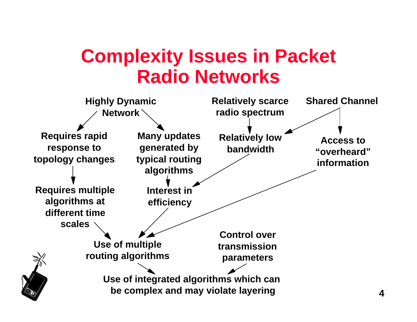## **Complexity Issues in Packet Radio Networks**

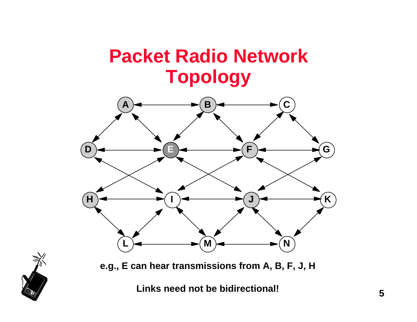## **Packet Radio Network Topology**



**e.g., E can hear transmissions from A, B, F, J, H**

**Links need not be bidirectional!**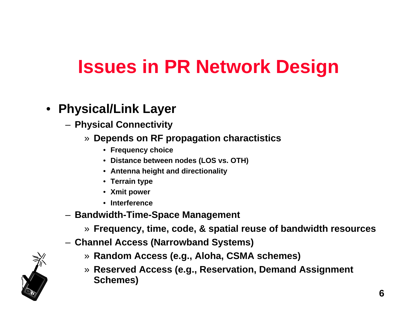### • **Physical/Link Layer**

- **Physical Connectivity**
	- » **Depends on RF propagation charactistics**
		- **Frequency choice**
		- **Distance between nodes (LOS vs. OTH)**
		- **Antenna height and directionality**
		- **Terrain type**
		- **Xmit power**
		- **Interference**
- **Bandwidth-Time-Space Management**
	- » **Frequency, time, code, & spatial reuse of bandwidth resources**
- **Channel Access (Narrowband Systems)**
	- » **Random Access (e.g., Aloha, CSMA schemes)**
	- » **Reserved Access (e.g., Reservation, Demand Assignment Schemes)**

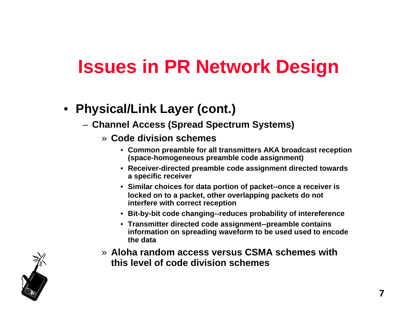### • **Physical/Link Layer (cont.)**

- **Channel Access (Spread Spectrum Systems)**
	- » **Code division schemes**
		- **Common preamble for all transmitters AKA broadcast reception (space-homogeneous preamble code assignment)**
		- **Receiver-directed preamble code assignment directed towards a specific receiver**
		- **Similar choices for data portion of packet--once a receiver is locked on to a packet, other overlapping packets do not interfere with correct reception**
		- **Bit-by-bit code changing--reduces probability of intereference**
		- **Transmitter directed code assignment--preamble contains information on spreading waveform to be used used to encode the data**
	- » **Aloha random access versus CSMA schemes with this level of code division schemes**

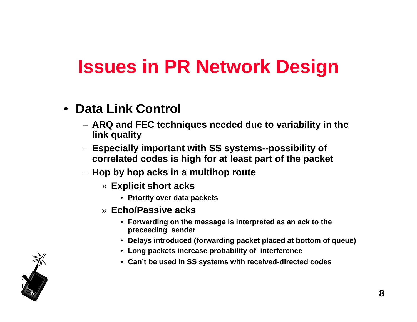- **Data Link Control**
	- **ARQ and FEC techniques needed due to variability in the link quality**
	- **Especially important with SS systems--possibility of correlated codes is high for at least part of the packet**
	- **Hop by hop acks in a multihop route**
		- » **Explicit short acks**
			- **Priority over data packets**
		- » **Echo/Passive acks**
			- **Forwarding on the message is interpreted as an ack to the preceeding sender**
			- **Delays introduced (forwarding packet placed at bottom of queue)**
			- **Long packets increase probability of interference**
			- **Can't be used in SS systems with received-directed codes**

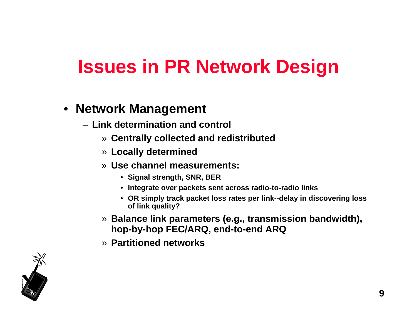### • **Network Management**

- **Link determination and control**
	- » **Centrally collected and redistributed**
	- » **Locally determined**
	- » **Use channel measurements:** 
		- **Signal strength, SNR, BER**
		- **Integrate over packets sent across radio-to-radio links**
		- **OR simply track packet loss rates per link--delay in discovering loss of link quality?**
	- » **Balance link parameters (e.g., transmission bandwidth), hop-by-hop FEC/ARQ, end-to-end ARQ**
	- » **Partitioned networks**

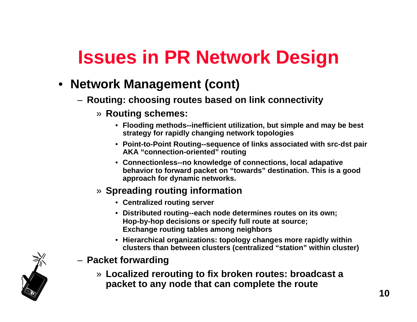### • **Network Management (cont)**

- **Routing: choosing routes based on link connectivity**
	- » **Routing schemes:**
		- **Flooding methods--inefficient utilization, but simple and may be best strategy for rapidly changing network topologies**
		- **Point-to-Point Routing--sequence of links associated with src-dst pair AKA "connection-oriented" routing**
		- **Connectionless--no knowledge of connections, local adapative behavior to forward packet on "towards" destination. This is a good approach for dynamic networks.**
	- » **Spreading routing information**
		- **Centralized routing server**
		- **Distributed routing--each node determines routes on its own; Hop-by-hop decisions or specify full route at source; Exchange routing tables among neighbors**
		- **Hierarchical organizations: topology changes more rapidly within clusters than between clusters (centralized "station" within cluster)**
- **Packet forwarding**
	- » **Localized rerouting to fix broken routes: broadcast a packet to any node that can complete the route**

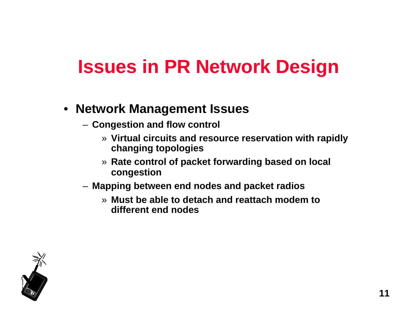### • **Network Management Issues**

- **Congestion and flow control**
	- » **Virtual circuits and resource reservation with rapidly changing topologies**
	- » **Rate control of packet forwarding based on local congestion**
- **Mapping between end nodes and packet radios**
	- » **Must be able to detach and reattach modem to different end nodes**

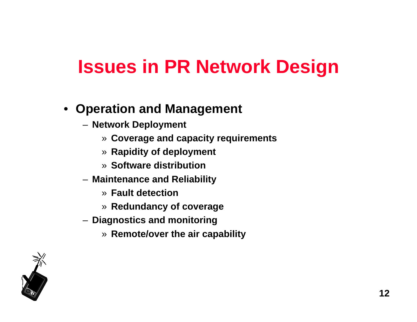### • **Operation and Management**

- **Network Deployment**
	- » **Coverage and capacity requirements**
	- » **Rapidity of deployment**
	- » **Software distribution**
- **Maintenance and Reliability**
	- » **Fault detection**
	- » **Redundancy of coverage**
- **Diagnostics and monitoring**
	- » **Remote/over the air capability**

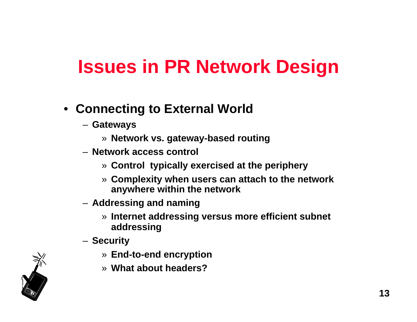- **Connecting to External World**
	- **Gateways**
		- » **Network vs. gateway-based routing**
	- **Network access control**
		- » **Control typically exercised at the periphery**
		- » **Complexity when users can attach to the network anywhere within the network**
	- **Addressing and naming**
		- » **Internet addressing versus more efficient subnet addressing**
	- **Security**
		- » **End-to-end encryption**
		- » **What about headers?**